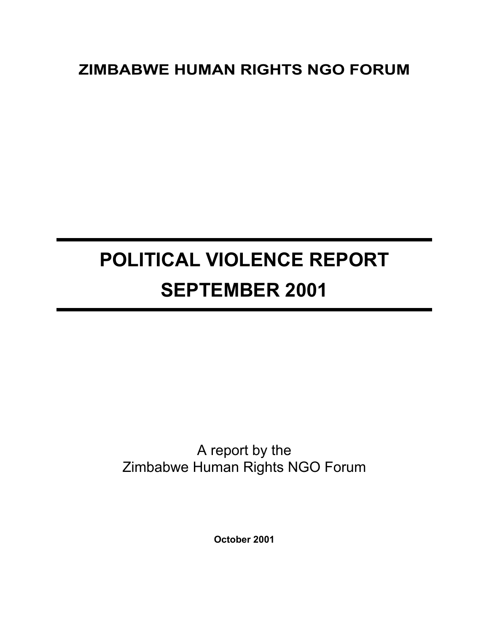# **ZIMBABWE HUMAN RIGHTS NGO FORUM**

# **POLITICAL VIOLENCE REPORT SEPTEMBER 2001**

# A report by the Zimbabwe Human Rights NGO Forum

**October 2001**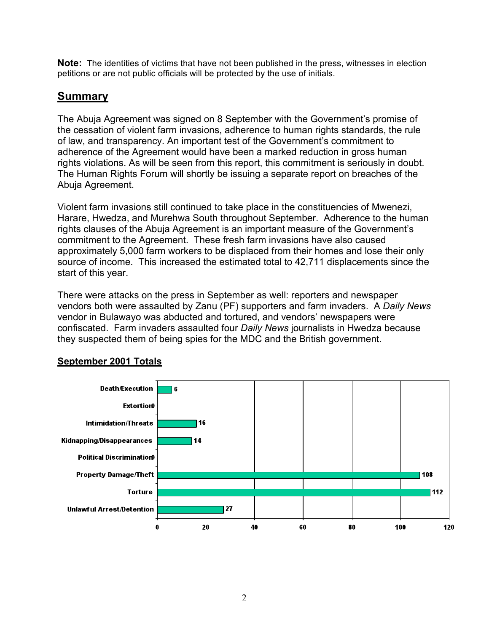**Note:** The identities of victims that have not been published in the press, witnesses in election petitions or are not public officials will be protected by the use of initials.

# **Summary**

The Abuja Agreement was signed on 8 September with the Government's promise of the cessation of violent farm invasions, adherence to human rights standards, the rule of law, and transparency. An important test of the Government's commitment to adherence of the Agreement would have been a marked reduction in gross human rights violations. As will be seen from this report, this commitment is seriously in doubt. The Human Rights Forum will shortly be issuing a separate report on breaches of the Abuja Agreement.

Violent farm invasions still continued to take place in the constituencies of Mwenezi, Harare, Hwedza, and Murehwa South throughout September. Adherence to the human rights clauses of the Abuja Agreement is an important measure of the Government's commitment to the Agreement. These fresh farm invasions have also caused approximately 5,000 farm workers to be displaced from their homes and lose their only source of income. This increased the estimated total to 42,711 displacements since the start of this year.

There were attacks on the press in September as well: reporters and newspaper vendors both were assaulted by Zanu (PF) supporters and farm invaders. A *Daily News* vendor in Bulawayo was abducted and tortured, and vendors' newspapers were confiscated. Farm invaders assaulted four *Daily News* journalists in Hwedza because they suspected them of being spies for the MDC and the British government.



## **September 2001 Totals**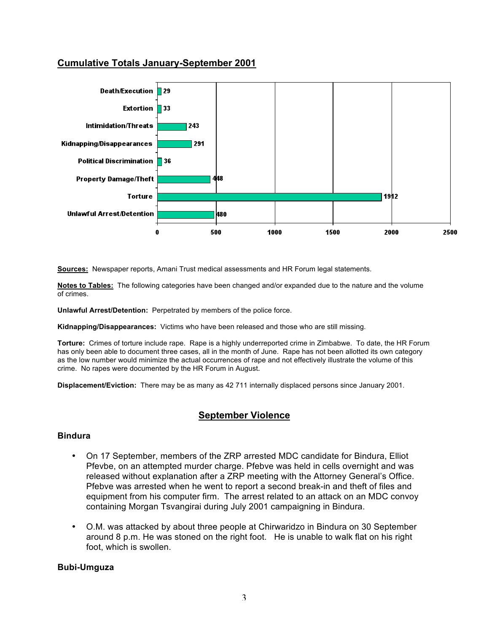## **Cumulative Totals January-September 2001**



**Sources:** Newspaper reports, Amani Trust medical assessments and HR Forum legal statements.

**Notes to Tables:** The following categories have been changed and/or expanded due to the nature and the volume of crimes.

**Unlawful Arrest/Detention:** Perpetrated by members of the police force.

**Kidnapping/Disappearances:** Victims who have been released and those who are still missing.

**Torture:** Crimes of torture include rape. Rape is a highly underreported crime in Zimbabwe. To date, the HR Forum has only been able to document three cases, all in the month of June. Rape has not been allotted its own category as the low number would minimize the actual occurrences of rape and not effectively illustrate the volume of this crime. No rapes were documented by the HR Forum in August.

**Displacement/Eviction:** There may be as many as 42 711 internally displaced persons since January 2001.

#### **September Violence**

#### **Bindura**

- On 17 September, members of the ZRP arrested MDC candidate for Bindura, Elliot Pfevbe, on an attempted murder charge. Pfebve was held in cells overnight and was released without explanation after a ZRP meeting with the Attorney General's Office. Pfebve was arrested when he went to report a second break-in and theft of files and equipment from his computer firm. The arrest related to an attack on an MDC convoy containing Morgan Tsvangirai during July 2001 campaigning in Bindura.
- O.M. was attacked by about three people at Chirwaridzo in Bindura on 30 September around 8 p.m. He was stoned on the right foot. He is unable to walk flat on his right foot, which is swollen.

#### **Bubi-Umguza**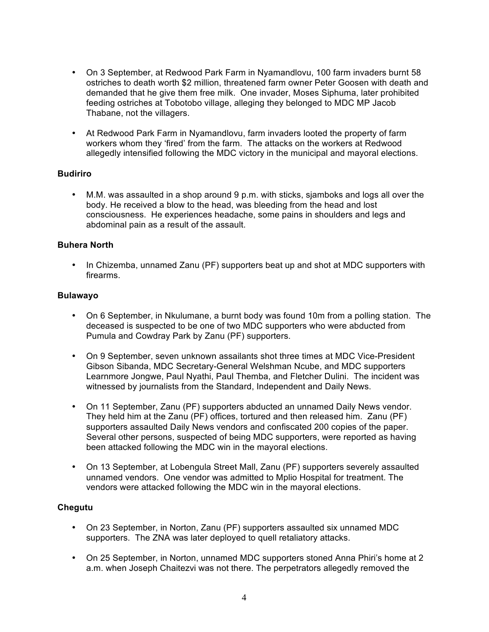- On 3 September, at Redwood Park Farm in Nyamandlovu, 100 farm invaders burnt 58 ostriches to death worth \$2 million, threatened farm owner Peter Goosen with death and demanded that he give them free milk. One invader, Moses Siphuma, later prohibited feeding ostriches at Tobotobo village, alleging they belonged to MDC MP Jacob Thabane, not the villagers.
- At Redwood Park Farm in Nyamandlovu, farm invaders looted the property of farm workers whom they 'fired' from the farm. The attacks on the workers at Redwood allegedly intensified following the MDC victory in the municipal and mayoral elections.

#### **Budiriro**

• M.M. was assaulted in a shop around 9 p.m. with sticks, sjamboks and logs all over the body. He received a blow to the head, was bleeding from the head and lost consciousness. He experiences headache, some pains in shoulders and legs and abdominal pain as a result of the assault.

#### **Buhera North**

• In Chizemba, unnamed Zanu (PF) supporters beat up and shot at MDC supporters with firearms.

#### **Bulawayo**

- On 6 September, in Nkulumane, a burnt body was found 10m from a polling station. The deceased is suspected to be one of two MDC supporters who were abducted from Pumula and Cowdray Park by Zanu (PF) supporters.
- On 9 September, seven unknown assailants shot three times at MDC Vice-President Gibson Sibanda, MDC Secretary-General Welshman Ncube, and MDC supporters Learnmore Jongwe, Paul Nyathi, Paul Themba, and Fletcher Dulini. The incident was witnessed by journalists from the Standard, Independent and Daily News.
- On 11 September, Zanu (PF) supporters abducted an unnamed Daily News vendor. They held him at the Zanu (PF) offices, tortured and then released him. Zanu (PF) supporters assaulted Daily News vendors and confiscated 200 copies of the paper. Several other persons, suspected of being MDC supporters, were reported as having been attacked following the MDC win in the mayoral elections.
- On 13 September, at Lobengula Street Mall, Zanu (PF) supporters severely assaulted unnamed vendors. One vendor was admitted to Mplio Hospital for treatment. The vendors were attacked following the MDC win in the mayoral elections.

#### **Chegutu**

- On 23 September, in Norton, Zanu (PF) supporters assaulted six unnamed MDC supporters. The ZNA was later deployed to quell retaliatory attacks.
- On 25 September, in Norton, unnamed MDC supporters stoned Anna Phiri's home at 2 a.m. when Joseph Chaitezvi was not there. The perpetrators allegedly removed the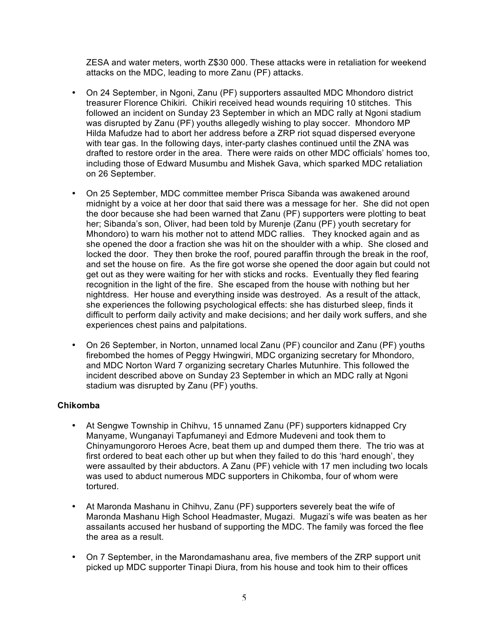ZESA and water meters, worth Z\$30 000. These attacks were in retaliation for weekend attacks on the MDC, leading to more Zanu (PF) attacks.

- On 24 September, in Ngoni, Zanu (PF) supporters assaulted MDC Mhondoro district treasurer Florence Chikiri. Chikiri received head wounds requiring 10 stitches. This followed an incident on Sunday 23 September in which an MDC rally at Ngoni stadium was disrupted by Zanu (PF) youths allegedly wishing to play soccer. Mhondoro MP Hilda Mafudze had to abort her address before a ZRP riot squad dispersed everyone with tear gas. In the following days, inter-party clashes continued until the ZNA was drafted to restore order in the area. There were raids on other MDC officials' homes too, including those of Edward Musumbu and Mishek Gava, which sparked MDC retaliation on 26 September.
- On 25 September, MDC committee member Prisca Sibanda was awakened around midnight by a voice at her door that said there was a message for her. She did not open the door because she had been warned that Zanu (PF) supporters were plotting to beat her; Sibanda's son, Oliver, had been told by Murenje (Zanu (PF) youth secretary for Mhondoro) to warn his mother not to attend MDC rallies. They knocked again and as she opened the door a fraction she was hit on the shoulder with a whip. She closed and locked the door. They then broke the roof, poured paraffin through the break in the roof, and set the house on fire. As the fire got worse she opened the door again but could not get out as they were waiting for her with sticks and rocks. Eventually they fled fearing recognition in the light of the fire. She escaped from the house with nothing but her nightdress. Her house and everything inside was destroyed. As a result of the attack, she experiences the following psychological effects: she has disturbed sleep, finds it difficult to perform daily activity and make decisions; and her daily work suffers, and she experiences chest pains and palpitations.
- On 26 September, in Norton, unnamed local Zanu (PF) councilor and Zanu (PF) youths firebombed the homes of Peggy Hwingwiri, MDC organizing secretary for Mhondoro, and MDC Norton Ward 7 organizing secretary Charles Mutunhire. This followed the incident described above on Sunday 23 September in which an MDC rally at Ngoni stadium was disrupted by Zanu (PF) youths.

#### **Chikomba**

- At Sengwe Township in Chihvu, 15 unnamed Zanu (PF) supporters kidnapped Cry Manyame, Wunganayi Tapfumaneyi and Edmore Mudeveni and took them to Chinyamungororo Heroes Acre, beat them up and dumped them there. The trio was at first ordered to beat each other up but when they failed to do this 'hard enough', they were assaulted by their abductors. A Zanu (PF) vehicle with 17 men including two locals was used to abduct numerous MDC supporters in Chikomba, four of whom were tortured.
- At Maronda Mashanu in Chihvu, Zanu (PF) supporters severely beat the wife of Maronda Mashanu High School Headmaster, Mugazi. Mugazi's wife was beaten as her assailants accused her husband of supporting the MDC. The family was forced the flee the area as a result.
- On 7 September, in the Marondamashanu area, five members of the ZRP support unit picked up MDC supporter Tinapi Diura, from his house and took him to their offices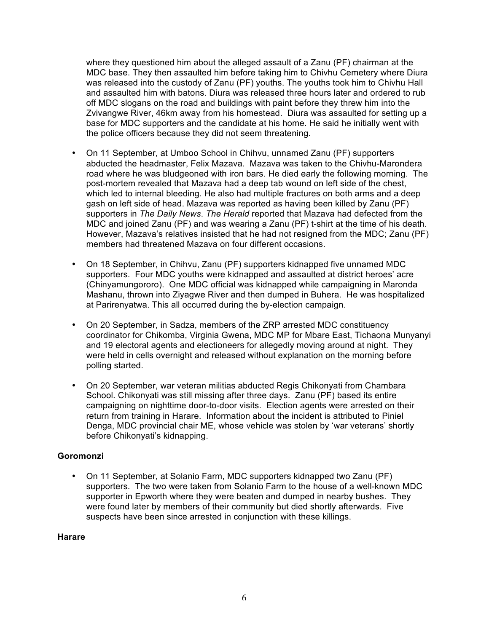where they questioned him about the alleged assault of a Zanu (PF) chairman at the MDC base. They then assaulted him before taking him to Chivhu Cemetery where Diura was released into the custody of Zanu (PF) youths. The youths took him to Chivhu Hall and assaulted him with batons. Diura was released three hours later and ordered to rub off MDC slogans on the road and buildings with paint before they threw him into the Zvivangwe River, 46km away from his homestead. Diura was assaulted for setting up a base for MDC supporters and the candidate at his home. He said he initially went with the police officers because they did not seem threatening.

- On 11 September, at Umboo School in Chihvu, unnamed Zanu (PF) supporters abducted the headmaster, Felix Mazava. Mazava was taken to the Chivhu-Marondera road where he was bludgeoned with iron bars. He died early the following morning. The post-mortem revealed that Mazava had a deep tab wound on left side of the chest, which led to internal bleeding. He also had multiple fractures on both arms and a deep gash on left side of head. Mazava was reported as having been killed by Zanu (PF) supporters in *The Daily News*. *The Herald* reported that Mazava had defected from the MDC and joined Zanu (PF) and was wearing a Zanu (PF) t-shirt at the time of his death. However, Mazava's relatives insisted that he had not resigned from the MDC; Zanu (PF) members had threatened Mazava on four different occasions.
- On 18 September, in Chihvu, Zanu (PF) supporters kidnapped five unnamed MDC supporters. Four MDC youths were kidnapped and assaulted at district heroes' acre (Chinyamungororo). One MDC official was kidnapped while campaigning in Maronda Mashanu, thrown into Ziyagwe River and then dumped in Buhera. He was hospitalized at Parirenyatwa. This all occurred during the by-election campaign.
- On 20 September, in Sadza, members of the ZRP arrested MDC constituency coordinator for Chikomba, Virginia Gwena, MDC MP for Mbare East, Tichaona Munyanyi and 19 electoral agents and electioneers for allegedly moving around at night. They were held in cells overnight and released without explanation on the morning before polling started.
- On 20 September, war veteran militias abducted Regis Chikonyati from Chambara School. Chikonyati was still missing after three days. Zanu (PF) based its entire campaigning on nighttime door-to-door visits. Election agents were arrested on their return from training in Harare. Information about the incident is attributed to Piniel Denga, MDC provincial chair ME, whose vehicle was stolen by 'war veterans' shortly before Chikonyati's kidnapping.

#### **Goromonzi**

• On 11 September, at Solanio Farm, MDC supporters kidnapped two Zanu (PF) supporters. The two were taken from Solanio Farm to the house of a well-known MDC supporter in Epworth where they were beaten and dumped in nearby bushes. They were found later by members of their community but died shortly afterwards. Five suspects have been since arrested in conjunction with these killings.

#### **Harare**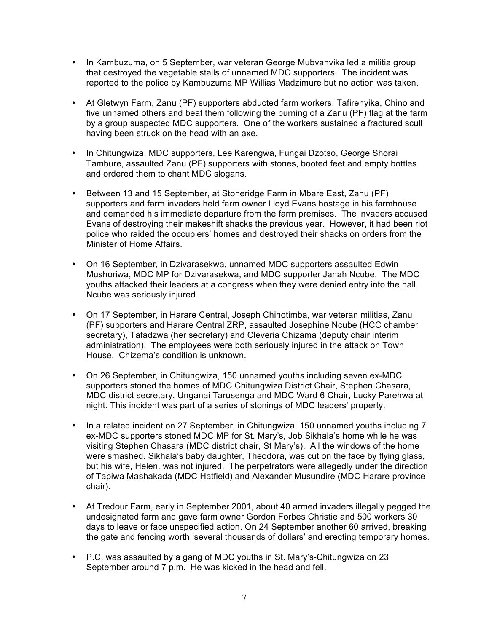- In Kambuzuma, on 5 September, war veteran George Mubvanvika led a militia group that destroyed the vegetable stalls of unnamed MDC supporters. The incident was reported to the police by Kambuzuma MP Willias Madzimure but no action was taken.
- At Gletwyn Farm, Zanu (PF) supporters abducted farm workers, Tafirenyika, Chino and five unnamed others and beat them following the burning of a Zanu (PF) flag at the farm by a group suspected MDC supporters. One of the workers sustained a fractured scull having been struck on the head with an axe.
- In Chitungwiza, MDC supporters, Lee Karengwa, Fungai Dzotso, George Shorai Tambure, assaulted Zanu (PF) supporters with stones, booted feet and empty bottles and ordered them to chant MDC slogans.
- Between 13 and 15 September, at Stoneridge Farm in Mbare East, Zanu (PF) supporters and farm invaders held farm owner Lloyd Evans hostage in his farmhouse and demanded his immediate departure from the farm premises. The invaders accused Evans of destroying their makeshift shacks the previous year. However, it had been riot police who raided the occupiers' homes and destroyed their shacks on orders from the Minister of Home Affairs.
- On 16 September, in Dzivarasekwa, unnamed MDC supporters assaulted Edwin Mushoriwa, MDC MP for Dzivarasekwa, and MDC supporter Janah Ncube. The MDC youths attacked their leaders at a congress when they were denied entry into the hall. Ncube was seriously injured.
- On 17 September, in Harare Central, Joseph Chinotimba, war veteran militias, Zanu (PF) supporters and Harare Central ZRP, assaulted Josephine Ncube (HCC chamber secretary), Tafadzwa (her secretary) and Cleveria Chizama (deputy chair interim administration). The employees were both seriously injured in the attack on Town House. Chizema's condition is unknown.
- On 26 September, in Chitungwiza, 150 unnamed youths including seven ex-MDC supporters stoned the homes of MDC Chitungwiza District Chair, Stephen Chasara, MDC district secretary, Unganai Tarusenga and MDC Ward 6 Chair, Lucky Parehwa at night. This incident was part of a series of stonings of MDC leaders' property.
- In a related incident on 27 September, in Chitungwiza, 150 unnamed youths including 7 ex-MDC supporters stoned MDC MP for St. Mary's, Job Sikhala's home while he was visiting Stephen Chasara (MDC district chair, St Mary's). All the windows of the home were smashed. Sikhala's baby daughter, Theodora, was cut on the face by flying glass, but his wife, Helen, was not injured. The perpetrators were allegedly under the direction of Tapiwa Mashakada (MDC Hatfield) and Alexander Musundire (MDC Harare province chair).
- At Tredour Farm, early in September 2001, about 40 armed invaders illegally pegged the undesignated farm and gave farm owner Gordon Forbes Christie and 500 workers 30 days to leave or face unspecified action. On 24 September another 60 arrived, breaking the gate and fencing worth 'several thousands of dollars' and erecting temporary homes.
- P.C. was assaulted by a gang of MDC youths in St. Mary's-Chitungwiza on 23 September around 7 p.m. He was kicked in the head and fell.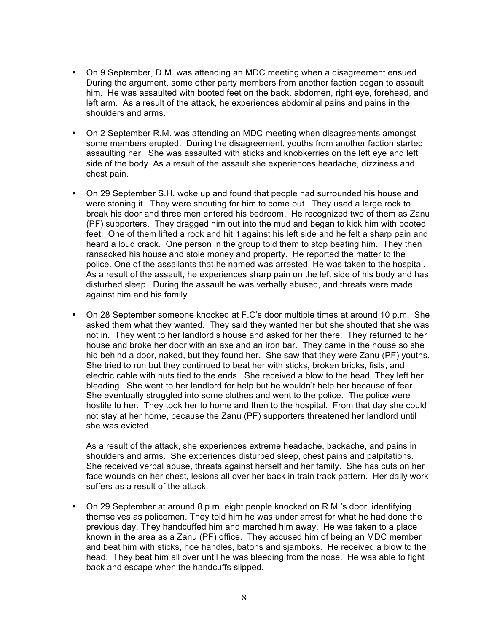- On 9 September, D.M. was attending an MDC meeting when a disagreement ensued. During the argument, some other party members from another faction began to assault him. He was assaulted with booted feet on the back, abdomen, right eye, forehead, and left arm. As a result of the attack, he experiences abdominal pains and pains in the shoulders and arms.
- On 2 September R.M. was attending an MDC meeting when disagreements amongst some members erupted. During the disagreement, youths from another faction started assaulting her. She was assaulted with sticks and knobkerries on the left eye and left side of the body. As a result of the assault she experiences headache, dizziness and chest pain.
- On 29 September S.H. woke up and found that people had surrounded his house and were stoning it. They were shouting for him to come out. They used a large rock to break his door and three men entered his bedroom. He recognized two of them as Zanu (PF) supporters. They dragged him out into the mud and began to kick him with booted feet. One of them lifted a rock and hit it against his left side and he felt a sharp pain and heard a loud crack. One person in the group told them to stop beating him. They then ransacked his house and stole money and property. He reported the matter to the police. One of the assailants that he named was arrested. He was taken to the hospital. As a result of the assault, he experiences sharp pain on the left side of his body and has disturbed sleep. During the assault he was verbally abused, and threats were made against him and his family.
- On 28 September someone knocked at F.C's door multiple times at around 10 p.m. She asked them what they wanted. They said they wanted her but she shouted that she was not in. They went to her landlord's house and asked for her there. They returned to her house and broke her door with an axe and an iron bar. They came in the house so she hid behind a door, naked, but they found her. She saw that they were Zanu (PF) youths. She tried to run but they continued to beat her with sticks, broken bricks, fists, and electric cable with nuts tied to the ends. She received a blow to the head. They left her bleeding. She went to her landlord for help but he wouldn't help her because of fear. She eventually struggled into some clothes and went to the police. The police were hostile to her. They took her to home and then to the hospital. From that day she could not stay at her home, because the Zanu (PF) supporters threatened her landlord until she was evicted.

As a result of the attack, she experiences extreme headache, backache, and pains in shoulders and arms. She experiences disturbed sleep, chest pains and palpitations. She received verbal abuse, threats against herself and her family. She has cuts on her face wounds on her chest, lesions all over her back in train track pattern. Her daily work suffers as a result of the attack.

• On 29 September at around 8 p.m. eight people knocked on R.M.'s door, identifying themselves as policemen. They told him he was under arrest for what he had done the previous day. They handcuffed him and marched him away. He was taken to a place known in the area as a Zanu (PF) office. They accused him of being an MDC member and beat him with sticks, hoe handles, batons and sjamboks. He received a blow to the head. They beat him all over until he was bleeding from the nose. He was able to fight back and escape when the handcuffs slipped.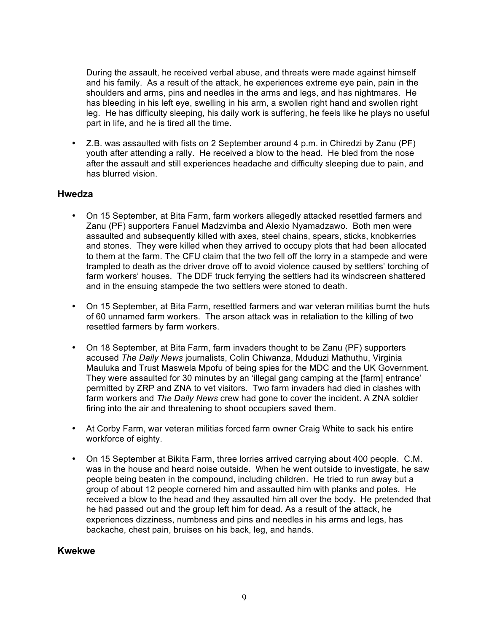During the assault, he received verbal abuse, and threats were made against himself and his family. As a result of the attack, he experiences extreme eye pain, pain in the shoulders and arms, pins and needles in the arms and legs, and has nightmares. He has bleeding in his left eye, swelling in his arm, a swollen right hand and swollen right leg. He has difficulty sleeping, his daily work is suffering, he feels like he plays no useful part in life, and he is tired all the time.

• Z.B. was assaulted with fists on 2 September around 4 p.m. in Chiredzi by Zanu (PF) youth after attending a rally. He received a blow to the head. He bled from the nose after the assault and still experiences headache and difficulty sleeping due to pain, and has blurred vision.

#### **Hwedza**

- On 15 September, at Bita Farm, farm workers allegedly attacked resettled farmers and Zanu (PF) supporters Fanuel Madzvimba and Alexio Nyamadzawo. Both men were assaulted and subsequently killed with axes, steel chains, spears, sticks, knobkerries and stones. They were killed when they arrived to occupy plots that had been allocated to them at the farm. The CFU claim that the two fell off the lorry in a stampede and were trampled to death as the driver drove off to avoid violence caused by settlers' torching of farm workers' houses. The DDF truck ferrying the settlers had its windscreen shattered and in the ensuing stampede the two settlers were stoned to death.
- On 15 September, at Bita Farm, resettled farmers and war veteran militias burnt the huts of 60 unnamed farm workers. The arson attack was in retaliation to the killing of two resettled farmers by farm workers.
- On 18 September, at Bita Farm, farm invaders thought to be Zanu (PF) supporters accused *The Daily News* journalists, Colin Chiwanza, Mduduzi Mathuthu, Virginia Mauluka and Trust Maswela Mpofu of being spies for the MDC and the UK Government. They were assaulted for 30 minutes by an 'illegal gang camping at the [farm] entrance' permitted by ZRP and ZNA to vet visitors. Two farm invaders had died in clashes with farm workers and *The Daily News* crew had gone to cover the incident. A ZNA soldier firing into the air and threatening to shoot occupiers saved them.
- At Corby Farm, war veteran militias forced farm owner Craig White to sack his entire workforce of eighty.
- On 15 September at Bikita Farm, three lorries arrived carrying about 400 people. C.M. was in the house and heard noise outside. When he went outside to investigate, he saw people being beaten in the compound, including children. He tried to run away but a group of about 12 people cornered him and assaulted him with planks and poles. He received a blow to the head and they assaulted him all over the body. He pretended that he had passed out and the group left him for dead. As a result of the attack, he experiences dizziness, numbness and pins and needles in his arms and legs, has backache, chest pain, bruises on his back, leg, and hands.

#### **Kwekwe**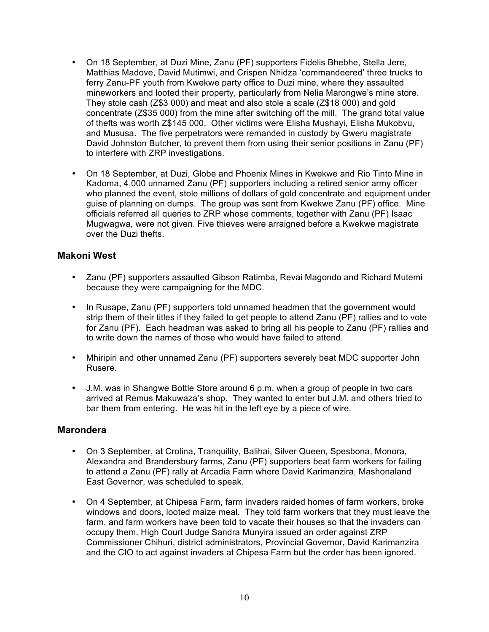- On 18 September, at Duzi Mine, Zanu (PF) supporters Fidelis Bhebhe, Stella Jere, Matthias Madove, David Mutimwi, and Crispen Nhidza 'commandeered' three trucks to ferry Zanu-PF youth from Kwekwe party office to Duzi mine, where they assaulted mineworkers and looted their property, particularly from Nelia Marongwe's mine store. They stole cash (Z\$3 000) and meat and also stole a scale (Z\$18 000) and gold concentrate (Z\$35 000) from the mine after switching off the mill. The grand total value of thefts was worth Z\$145 000. Other victims were Elisha Mushayi, Elisha Mukobvu, and Mususa. The five perpetrators were remanded in custody by Gweru magistrate David Johnston Butcher, to prevent them from using their senior positions in Zanu (PF) to interfere with ZRP investigations.
- On 18 September, at Duzi, Globe and Phoenix Mines in Kwekwe and Rio Tinto Mine in Kadoma, 4,000 unnamed Zanu (PF) supporters including a retired senior army officer who planned the event, stole millions of dollars of gold concentrate and equipment under guise of planning on dumps. The group was sent from Kwekwe Zanu (PF) office. Mine officials referred all queries to ZRP whose comments, together with Zanu (PF) Isaac Mugwagwa, were not given. Five thieves were arraigned before a Kwekwe magistrate over the Duzi thefts.

#### **Makoni West**

- Zanu (PF) supporters assaulted Gibson Ratimba, Revai Magondo and Richard Mutemi because they were campaigning for the MDC.
- In Rusape, Zanu (PF) supporters told unnamed headmen that the government would strip them of their titles if they failed to get people to attend Zanu (PF) rallies and to vote for Zanu (PF). Each headman was asked to bring all his people to Zanu (PF) rallies and to write down the names of those who would have failed to attend.
- Mhiripiri and other unnamed Zanu (PF) supporters severely beat MDC supporter John Rusere.
- J.M. was in Shangwe Bottle Store around 6 p.m. when a group of people in two cars arrived at Remus Makuwaza's shop. They wanted to enter but J.M. and others tried to bar them from entering. He was hit in the left eye by a piece of wire.

#### **Marondera**

- On 3 September, at Crolina, Tranquility, Balihai, Silver Queen, Spesbona, Monora, Alexandra and Brandersbury farms, Zanu (PF) supporters beat farm workers for failing to attend a Zanu (PF) rally at Arcadia Farm where David Karimanzira, Mashonaland East Governor, was scheduled to speak.
- On 4 September, at Chipesa Farm, farm invaders raided homes of farm workers, broke windows and doors, looted maize meal. They told farm workers that they must leave the farm, and farm workers have been told to vacate their houses so that the invaders can occupy them. High Court Judge Sandra Munyira issued an order against ZRP Commissioner Chihuri, district administrators, Provincial Governor, David Karimanzira and the CIO to act against invaders at Chipesa Farm but the order has been ignored.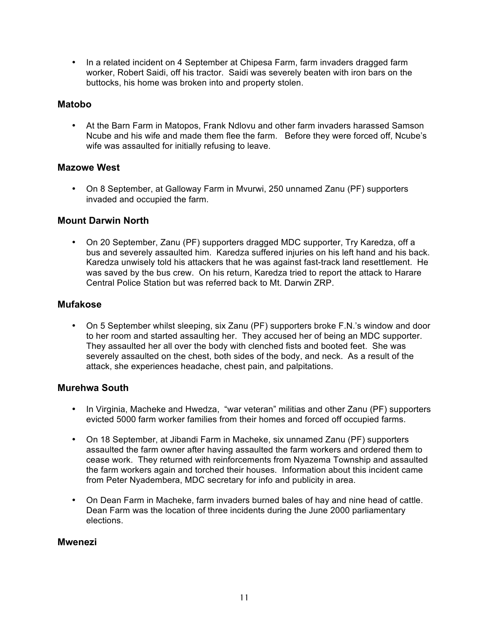• In a related incident on 4 September at Chipesa Farm, farm invaders dragged farm worker, Robert Saidi, off his tractor. Saidi was severely beaten with iron bars on the buttocks, his home was broken into and property stolen.

#### **Matobo**

• At the Barn Farm in Matopos, Frank Ndlovu and other farm invaders harassed Samson Ncube and his wife and made them flee the farm. Before they were forced off, Ncube's wife was assaulted for initially refusing to leave.

#### **Mazowe West**

• On 8 September, at Galloway Farm in Myurwi, 250 unnamed Zanu (PF) supporters invaded and occupied the farm.

#### **Mount Darwin North**

• On 20 September, Zanu (PF) supporters dragged MDC supporter, Try Karedza, off a bus and severely assaulted him. Karedza suffered injuries on his left hand and his back. Karedza unwisely told his attackers that he was against fast-track land resettlement. He was saved by the bus crew. On his return, Karedza tried to report the attack to Harare Central Police Station but was referred back to Mt. Darwin ZRP.

#### **Mufakose**

• On 5 September whilst sleeping, six Zanu (PF) supporters broke F.N.'s window and door to her room and started assaulting her. They accused her of being an MDC supporter. They assaulted her all over the body with clenched fists and booted feet. She was severely assaulted on the chest, both sides of the body, and neck. As a result of the attack, she experiences headache, chest pain, and palpitations.

#### **Murehwa South**

- In Virginia, Macheke and Hwedza, "war veteran" militias and other Zanu (PF) supporters evicted 5000 farm worker families from their homes and forced off occupied farms.
- On 18 September, at Jibandi Farm in Macheke, six unnamed Zanu (PF) supporters assaulted the farm owner after having assaulted the farm workers and ordered them to cease work. They returned with reinforcements from Nyazema Township and assaulted the farm workers again and torched their houses. Information about this incident came from Peter Nyadembera, MDC secretary for info and publicity in area.
- On Dean Farm in Macheke, farm invaders burned bales of hay and nine head of cattle. Dean Farm was the location of three incidents during the June 2000 parliamentary elections.

#### **Mwenezi**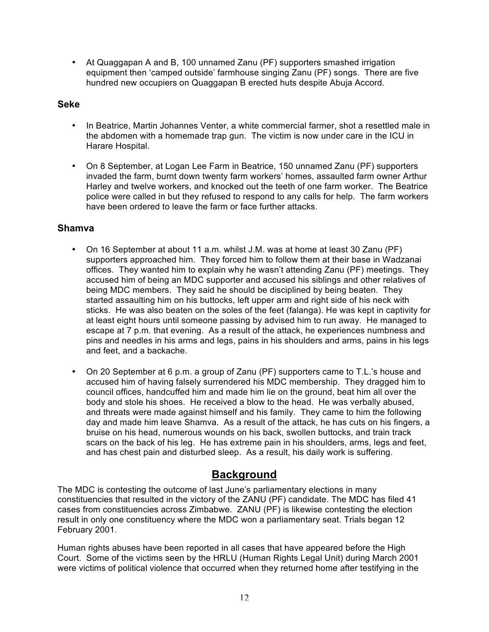• At Quaggapan A and B, 100 unnamed Zanu (PF) supporters smashed irrigation equipment then 'camped outside' farmhouse singing Zanu (PF) songs. There are five hundred new occupiers on Quaggapan B erected huts despite Abuja Accord.

#### **Seke**

- In Beatrice, Martin Johannes Venter, a white commercial farmer, shot a resettled male in the abdomen with a homemade trap gun. The victim is now under care in the ICU in Harare Hospital.
- On 8 September, at Logan Lee Farm in Beatrice, 150 unnamed Zanu (PF) supporters invaded the farm, burnt down twenty farm workers' homes, assaulted farm owner Arthur Harley and twelve workers, and knocked out the teeth of one farm worker. The Beatrice police were called in but they refused to respond to any calls for help. The farm workers have been ordered to leave the farm or face further attacks.

## **Shamva**

- On 16 September at about 11 a.m. whilst J.M. was at home at least 30 Zanu (PF) supporters approached him. They forced him to follow them at their base in Wadzanai offices. They wanted him to explain why he wasn't attending Zanu (PF) meetings. They accused him of being an MDC supporter and accused his siblings and other relatives of being MDC members. They said he should be disciplined by being beaten. They started assaulting him on his buttocks, left upper arm and right side of his neck with sticks. He was also beaten on the soles of the feet (falanga). He was kept in captivity for at least eight hours until someone passing by advised him to run away. He managed to escape at 7 p.m. that evening. As a result of the attack, he experiences numbness and pins and needles in his arms and legs, pains in his shoulders and arms, pains in his legs and feet, and a backache.
- On 20 September at 6 p.m. a group of Zanu (PF) supporters came to T.L.'s house and accused him of having falsely surrendered his MDC membership. They dragged him to council offices, handcuffed him and made him lie on the ground, beat him all over the body and stole his shoes. He received a blow to the head. He was verbally abused, and threats were made against himself and his family. They came to him the following day and made him leave Shamva. As a result of the attack, he has cuts on his fingers, a bruise on his head, numerous wounds on his back, swollen buttocks, and train track scars on the back of his leg. He has extreme pain in his shoulders, arms, legs and feet, and has chest pain and disturbed sleep. As a result, his daily work is suffering.

# **Background**

The MDC is contesting the outcome of last June's parliamentary elections in many constituencies that resulted in the victory of the ZANU (PF) candidate. The MDC has filed 41 cases from constituencies across Zimbabwe. ZANU (PF) is likewise contesting the election result in only one constituency where the MDC won a parliamentary seat. Trials began 12 February 2001.

Human rights abuses have been reported in all cases that have appeared before the High Court. Some of the victims seen by the HRLU (Human Rights Legal Unit) during March 2001 were victims of political violence that occurred when they returned home after testifying in the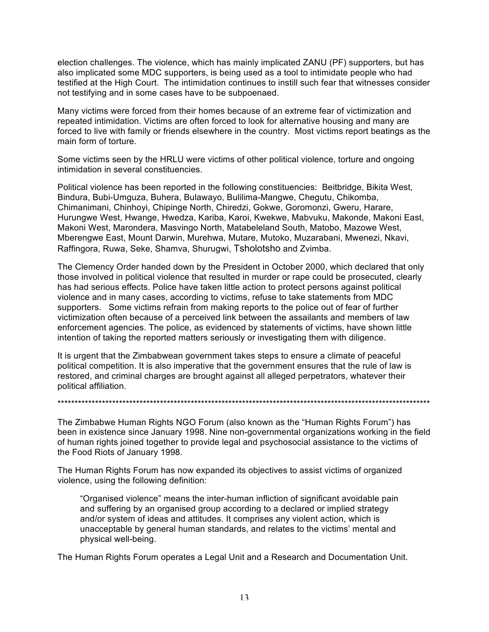election challenges. The violence, which has mainly implicated ZANU (PF) supporters, but has also implicated some MDC supporters, is being used as a tool to intimidate people who had testified at the High Court. The intimidation continues to instill such fear that witnesses consider not testifying and in some cases have to be subpoenaed.

Many victims were forced from their homes because of an extreme fear of victimization and repeated intimidation. Victims are often forced to look for alternative housing and many are forced to live with family or friends elsewhere in the country. Most victims report beatings as the main form of torture.

Some victims seen by the HRLU were victims of other political violence, torture and ongoing intimidation in several constituencies.

Political violence has been reported in the following constituencies: Beitbridge, Bikita West, Bindura, Bubi-Umguza, Buhera, Bulawayo, Bulilima-Mangwe, Chegutu, Chikomba, Chimanimani, Chinhoyi, Chipinge North, Chiredzi, Gokwe, Goromonzi, Gweru, Harare, Hurungwe West, Hwange, Hwedza, Kariba, Karoi, Kwekwe, Mabvuku, Makonde, Makoni East, Makoni West, Marondera, Masvingo North, Matabeleland South, Matobo, Mazowe West, Mberengwe East, Mount Darwin, Murehwa, Mutare, Mutoko, Muzarabani, Mwenezi, Nkavi, Raffingora, Ruwa, Seke, Shamva, Shurugwi, Tsholotsho and Zvimba.

The Clemency Order handed down by the President in October 2000, which declared that only those involved in political violence that resulted in murder or rape could be prosecuted, clearly has had serious effects. Police have taken little action to protect persons against political violence and in many cases, according to victims, refuse to take statements from MDC supporters. Some victims refrain from making reports to the police out of fear of further victimization often because of a perceived link between the assailants and members of law enforcement agencies. The police, as evidenced by statements of victims, have shown little intention of taking the reported matters seriously or investigating them with diligence.

It is urgent that the Zimbabwean government takes steps to ensure a climate of peaceful political competition. It is also imperative that the government ensures that the rule of law is restored, and criminal charges are brought against all alleged perpetrators, whatever their political affiliation.

The Zimbabwe Human Rights NGO Forum (also known as the "Human Rights Forum") has been in existence since January 1998. Nine non-governmental organizations working in the field of human rights joined together to provide legal and psychosocial assistance to the victims of the Food Riots of January 1998.

\*\*\*\*\*\*\*\*\*\*\*\*\*\*\*\*\*\*\*\*\*\*\*\*\*\*\*\*\*\*\*\*\*\*\*\*\*\*\*\*\*\*\*\*\*\*\*\*\*\*\*\*\*\*\*\*\*\*\*\*\*\*\*\*\*\*\*\*\*\*\*\*\*\*\*\*\*\*\*\*\*\*\*\*\*\*\*\*\*\*\*\*\*\*\*\*\*\*\*\*\*\*\*\*\*\*\*\*\*

The Human Rights Forum has now expanded its objectives to assist victims of organized violence, using the following definition:

"Organised violence" means the inter-human infliction of significant avoidable pain and suffering by an organised group according to a declared or implied strategy and/or system of ideas and attitudes. It comprises any violent action, which is unacceptable by general human standards, and relates to the victims' mental and physical well-being.

The Human Rights Forum operates a Legal Unit and a Research and Documentation Unit.